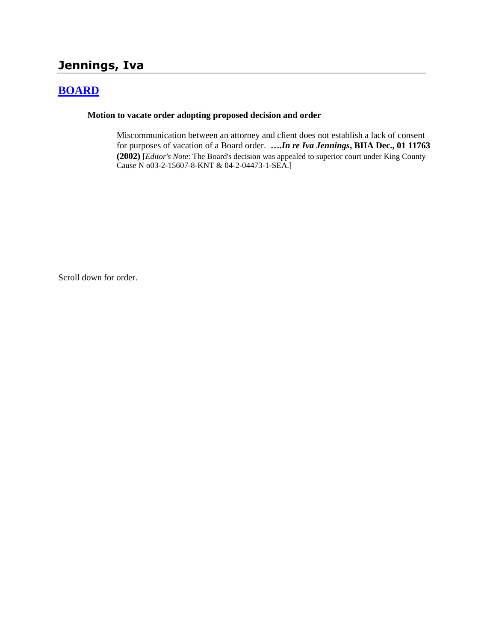# **Jennings, Iva**

## **[BOARD](http://www.biia.wa.gov/SDSubjectIndex.html#BOARD)**

#### **Motion to vacate order adopting proposed decision and order**

Miscommunication between an attorney and client does not establish a lack of consent for purposes of vacation of a Board order. **….***In re Iva Jennings***, BIIA Dec., 01 11763 (2002)** [*Editor's Note*: The Board's decision was appealed to superior court under King County Cause N o03-2-15607-8-KNT & 04-2-04473-1-SEA.]

Scroll down for order.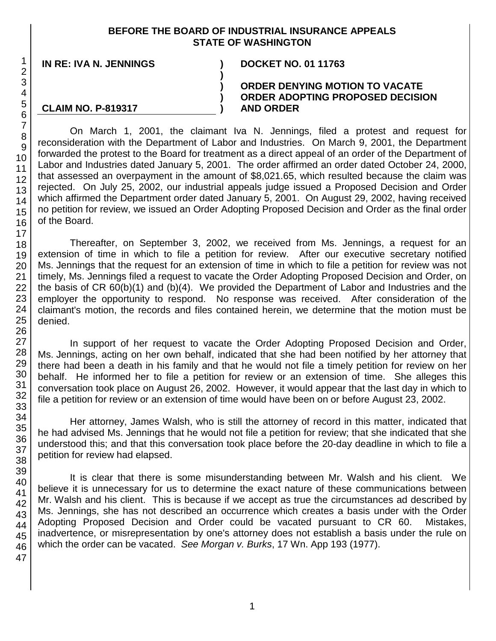### **BEFORE THE BOARD OF INDUSTRIAL INSURANCE APPEALS STATE OF WASHINGTON**

**)**

**) ) )**

**IN RE: IVA N. JENNINGS ) DOCKET NO. 01 11763**

**CLAIM NO. P-819317**

#### **ORDER DENYING MOTION TO VACATE ORDER ADOPTING PROPOSED DECISION AND ORDER**

On March 1, 2001, the claimant Iva N. Jennings, filed a protest and request for reconsideration with the Department of Labor and Industries. On March 9, 2001, the Department forwarded the protest to the Board for treatment as a direct appeal of an order of the Department of Labor and Industries dated January 5, 2001. The order affirmed an order dated October 24, 2000, that assessed an overpayment in the amount of \$8,021.65, which resulted because the claim was rejected. On July 25, 2002, our industrial appeals judge issued a Proposed Decision and Order which affirmed the Department order dated January 5, 2001. On August 29, 2002, having received no petition for review, we issued an Order Adopting Proposed Decision and Order as the final order of the Board.

Thereafter, on September 3, 2002, we received from Ms. Jennings, a request for an extension of time in which to file a petition for review. After our executive secretary notified Ms. Jennings that the request for an extension of time in which to file a petition for review was not timely, Ms. Jennings filed a request to vacate the Order Adopting Proposed Decision and Order, on the basis of CR 60(b)(1) and (b)(4). We provided the Department of Labor and Industries and the employer the opportunity to respond. No response was received. After consideration of the claimant's motion, the records and files contained herein, we determine that the motion must be denied.

In support of her request to vacate the Order Adopting Proposed Decision and Order, Ms. Jennings, acting on her own behalf, indicated that she had been notified by her attorney that there had been a death in his family and that he would not file a timely petition for review on her behalf. He informed her to file a petition for review or an extension of time. She alleges this conversation took place on August 26, 2002. However, it would appear that the last day in which to file a petition for review or an extension of time would have been on or before August 23, 2002.

Her attorney, James Walsh, who is still the attorney of record in this matter, indicated that he had advised Ms. Jennings that he would not file a petition for review; that she indicated that she understood this; and that this conversation took place before the 20-day deadline in which to file a petition for review had elapsed.

It is clear that there is some misunderstanding between Mr. Walsh and his client. We believe it is unnecessary for us to determine the exact nature of these communications between Mr. Walsh and his client. This is because if we accept as true the circumstances ad described by Ms. Jennings, she has not described an occurrence which creates a basis under with the Order Adopting Proposed Decision and Order could be vacated pursuant to CR 60. Mistakes, inadvertence, or misrepresentation by one's attorney does not establish a basis under the rule on which the order can be vacated. *See Morgan v. Burks*, 17 Wn. App 193 (1977).